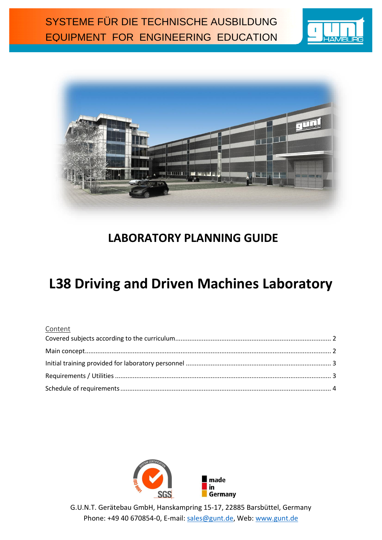



## **LABORATORY PLANNING GUIDE**

# **L38 Driving and Driven Machines Laboratory**

#### Content



G.U.N.T. Gerätebau GmbH, Hanskampring 15-17, 22885 Barsbüttel, Germany Phone: +49 40 670854-0, E-mail: [sales@gunt.de,](mailto:sales@gunt.de) Web: [www.gunt.de](http://www.gunt.de/)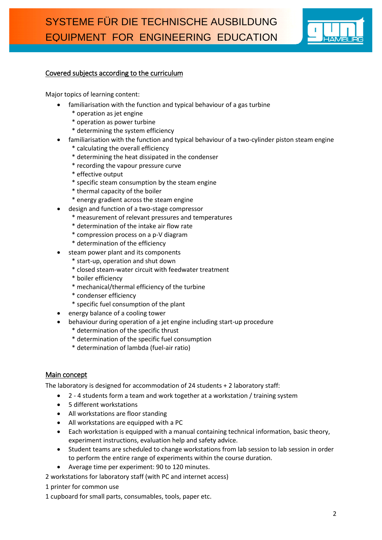

#### <span id="page-1-0"></span>Covered subjects according to the curriculum

Major topics of learning content:

- familiarisation with the function and typical behaviour of a gas turbine
	- \* operation as jet engine
	- \* operation as power turbine
	- \* determining the system efficiency
- familiarisation with the function and typical behaviour of a two-cylinder piston steam engine
	- \* calculating the overall efficiency
	- \* determining the heat dissipated in the condenser
	- \* recording the vapour pressure curve
	- \* effective output
	- \* specific steam consumption by the steam engine
	- \* thermal capacity of the boiler
	- \* energy gradient across the steam engine
- design and function of a two-stage compressor
	- \* measurement of relevant pressures and temperatures
	- \* determination of the intake air flow rate
	- \* compression process on a p-V diagram
	- \* determination of the efficiency
- steam power plant and its components
	- \* start-up, operation and shut down
	- \* closed steam-water circuit with feedwater treatment
	- \* boiler efficiency
	- \* mechanical/thermal efficiency of the turbine
	- \* condenser efficiency
	- \* specific fuel consumption of the plant
- energy balance of a cooling tower
- behaviour during operation of a jet engine including start-up procedure
	- \* determination of the specific thrust
	- \* determination of the specific fuel consumption
	- \* determination of lambda (fuel-air ratio)

#### <span id="page-1-1"></span>Main concept

The laboratory is designed for accommodation of 24 students + 2 laboratory staff:

- 2 4 students form a team and work together at a workstation / training system
- 5 different workstations
- All workstations are floor standing
- All workstations are equipped with a PC
- Each workstation is equipped with a manual containing technical information, basic theory, experiment instructions, evaluation help and safety advice.
- Student teams are scheduled to change workstations from lab session to lab session in order to perform the entire range of experiments within the course duration.
- Average time per experiment: 90 to 120 minutes.
- 2 workstations for laboratory staff (with PC and internet access)
- 1 printer for common use
- 1 cupboard for small parts, consumables, tools, paper etc.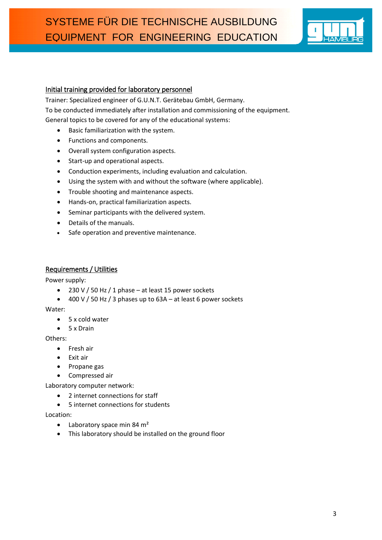

#### <span id="page-2-0"></span>Initial training provided for laboratory personnel

Trainer: Specialized engineer of G.U.N.T. Gerätebau GmbH, Germany. To be conducted immediately after installation and commissioning of the equipment. General topics to be covered for any of the educational systems:

- Basic familiarization with the system.
- Functions and components.
- Overall system configuration aspects.
- Start-up and operational aspects.
- Conduction experiments, including evaluation and calculation.
- Using the system with and without the software (where applicable).
- Trouble shooting and maintenance aspects.
- Hands-on, practical familiarization aspects.
- Seminar participants with the delivered system.
- Details of the manuals.
- Safe operation and preventive maintenance.

#### <span id="page-2-1"></span>Requirements / Utilities

Power supply:

- $\bullet$  230 V / 50 Hz / 1 phase at least 15 power sockets
- $\bullet$  400 V / 50 Hz / 3 phases up to 63A at least 6 power sockets

Water:

- 5 x cold water
- 5 x Drain

Others:

- Fresh air
- Exit air
- Propane gas
- Compressed air

Laboratory computer network:

- 2 internet connections for staff
- 5 internet connections for students

Location:

- $\bullet$  Laboratory space min 84 m<sup>2</sup>
- This laboratory should be installed on the ground floor